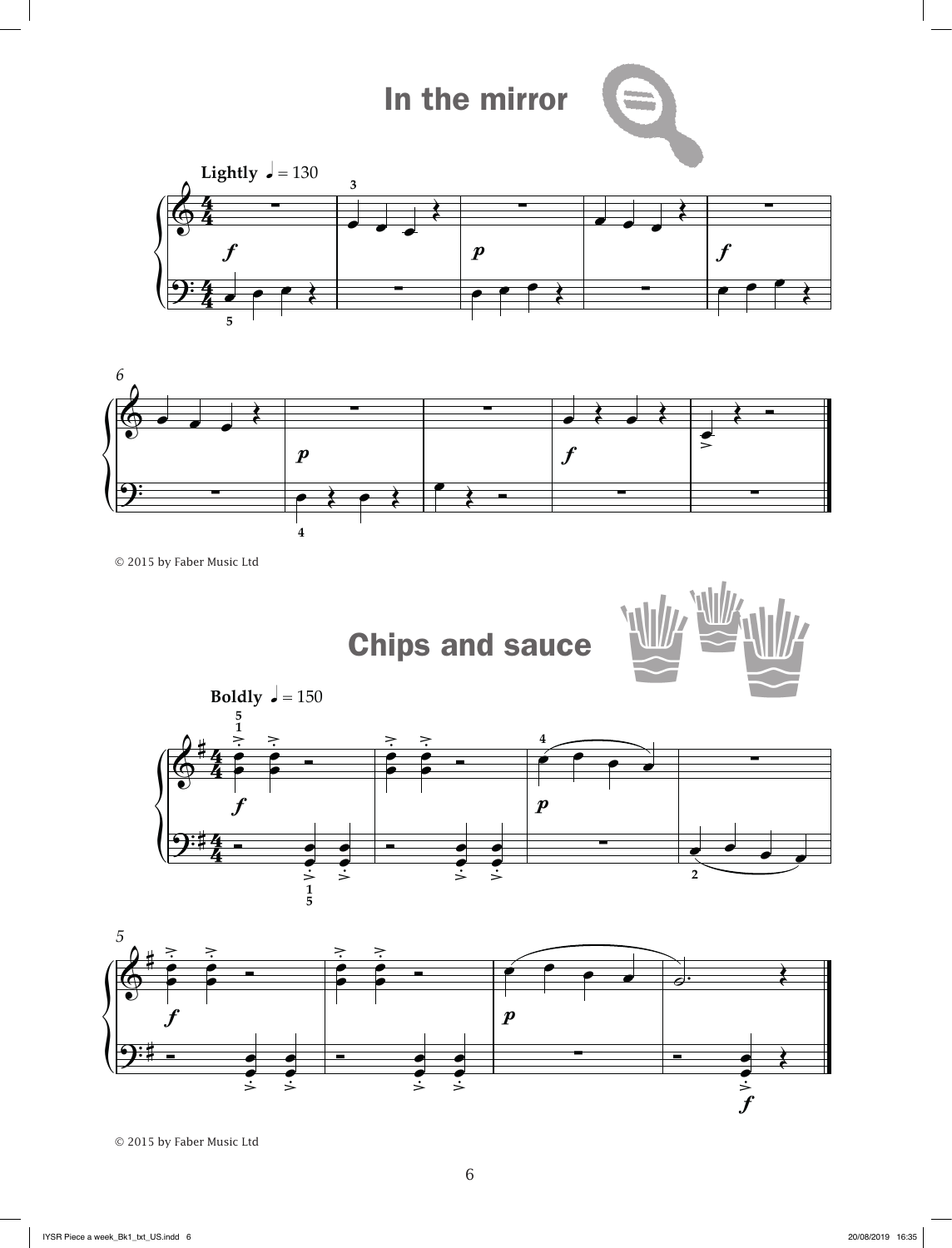## In the mirror





```
© 2015 by Faber Music Ltd
```
Chips and sauce







© 2015 by Faber Music Ltd

**5**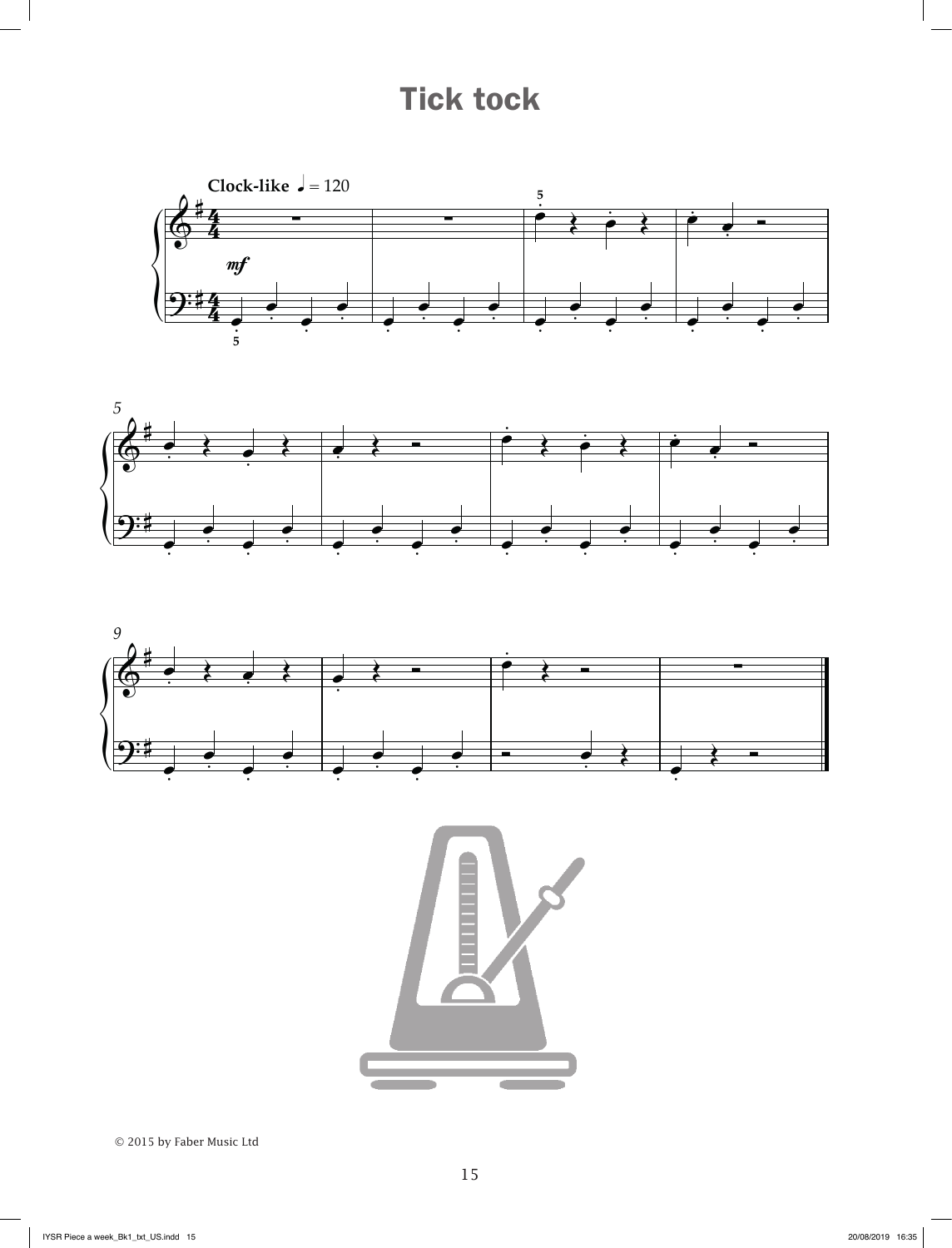## Tick tock









© 2015 by Faber Music Ltd